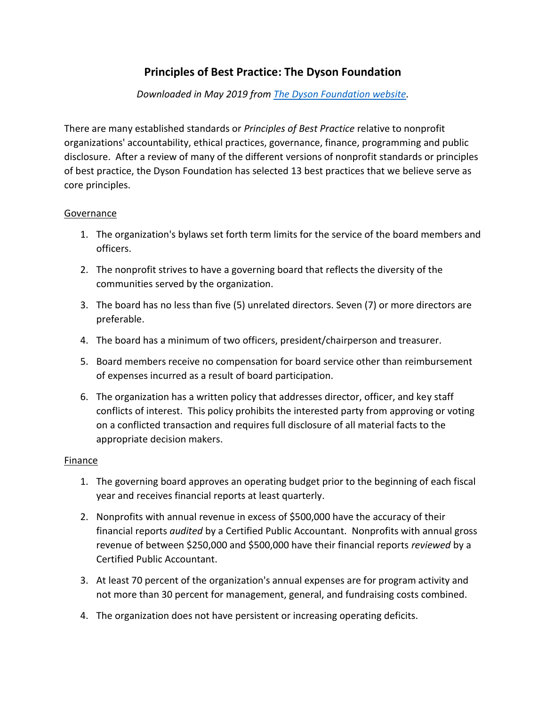# **Principles of Best Practice: The Dyson Foundation**

*Downloaded in May 2019 from [The Dyson Foundation website.](http://dysonfoundation.org/28-content/grantmaking/27-principles-of-best-practice)*

There are many established standards or *Principles of Best Practice* relative to nonprofit organizations' accountability, ethical practices, governance, finance, programming and public disclosure. After a review of many of the different versions of nonprofit standards or principles of best practice, the Dyson Foundation has selected 13 best practices that we believe serve as core principles.

## Governance

- 1. The organization's bylaws set forth term limits for the service of the board members and officers.
- 2. The nonprofit strives to have a governing board that reflects the diversity of the communities served by the organization.
- 3. The board has no less than five (5) unrelated directors. Seven (7) or more directors are preferable.
- 4. The board has a minimum of two officers, president/chairperson and treasurer.
- 5. Board members receive no compensation for board service other than reimbursement of expenses incurred as a result of board participation.
- 6. The organization has a written policy that addresses director, officer, and key staff conflicts of interest. This policy prohibits the interested party from approving or voting on a conflicted transaction and requires full disclosure of all material facts to the appropriate decision makers.

## Finance

- 1. The governing board approves an operating budget prior to the beginning of each fiscal year and receives financial reports at least quarterly.
- 2. Nonprofits with annual revenue in excess of \$500,000 have the accuracy of their financial reports *audited* by a Certified Public Accountant. Nonprofits with annual gross revenue of between \$250,000 and \$500,000 have their financial reports *reviewed* by a Certified Public Accountant.
- 3. At least 70 percent of the organization's annual expenses are for program activity and not more than 30 percent for management, general, and fundraising costs combined.
- 4. The organization does not have persistent or increasing operating deficits.